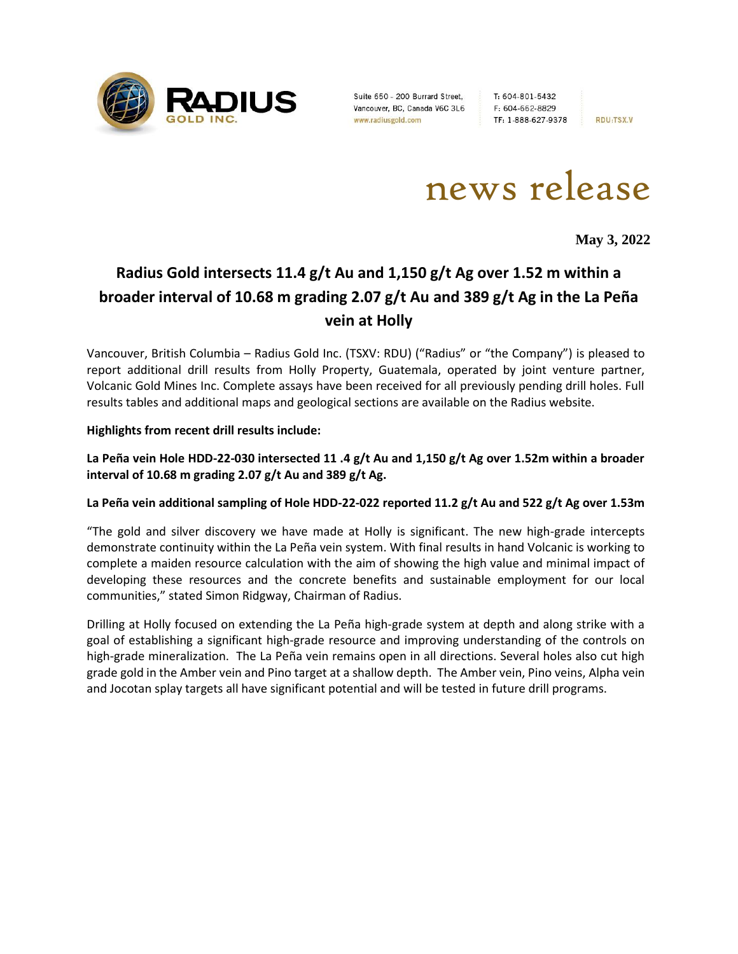

Suite 650 - 200 Burrard Street, Vancouver, BC, Canada V6C 3L6 www.radiusgold.com

T: 604-801-5432 F: 604-662-8829 TF: 1-888-627-9378

**RDU:TSX.V** 



**May 3, 2022**

# **Radius Gold intersects 11.4 g/t Au and 1,150 g/t Ag over 1.52 m within a broader interval of 10.68 m grading 2.07 g/t Au and 389 g/t Ag in the La Peña vein at Holly**

Vancouver, British Columbia – Radius Gold Inc. (TSXV: RDU) ("Radius" or "the Company") is pleased to report additional drill results from Holly Property, Guatemala, operated by joint venture partner, Volcanic Gold Mines Inc. Complete assays have been received for all previously pending drill holes. Full results tables and additional maps and geological sections are available on the Radius website.

## **Highlights from recent drill results include:**

**La Peña vein Hole HDD-22-030 intersected 11 .4 g/t Au and 1,150 g/t Ag over 1.52m within a broader interval of 10.68 m grading 2.07 g/t Au and 389 g/t Ag.**

## **La Peña vein additional sampling of Hole HDD-22-022 reported 11.2 g/t Au and 522 g/t Ag over 1.53m**

"The gold and silver discovery we have made at Holly is significant. The new high-grade intercepts demonstrate continuity within the La Peña vein system. With final results in hand Volcanic is working to complete a maiden resource calculation with the aim of showing the high value and minimal impact of developing these resources and the concrete benefits and sustainable employment for our local communities," stated Simon Ridgway, Chairman of Radius.

Drilling at Holly focused on extending the La Peña high-grade system at depth and along strike with a goal of establishing a significant high-grade resource and improving understanding of the controls on high-grade mineralization. The La Peña vein remains open in all directions. Several holes also cut high grade gold in the Amber vein and Pino target at a shallow depth. The Amber vein, Pino veins, Alpha vein and Jocotan splay targets all have significant potential and will be tested in future drill programs.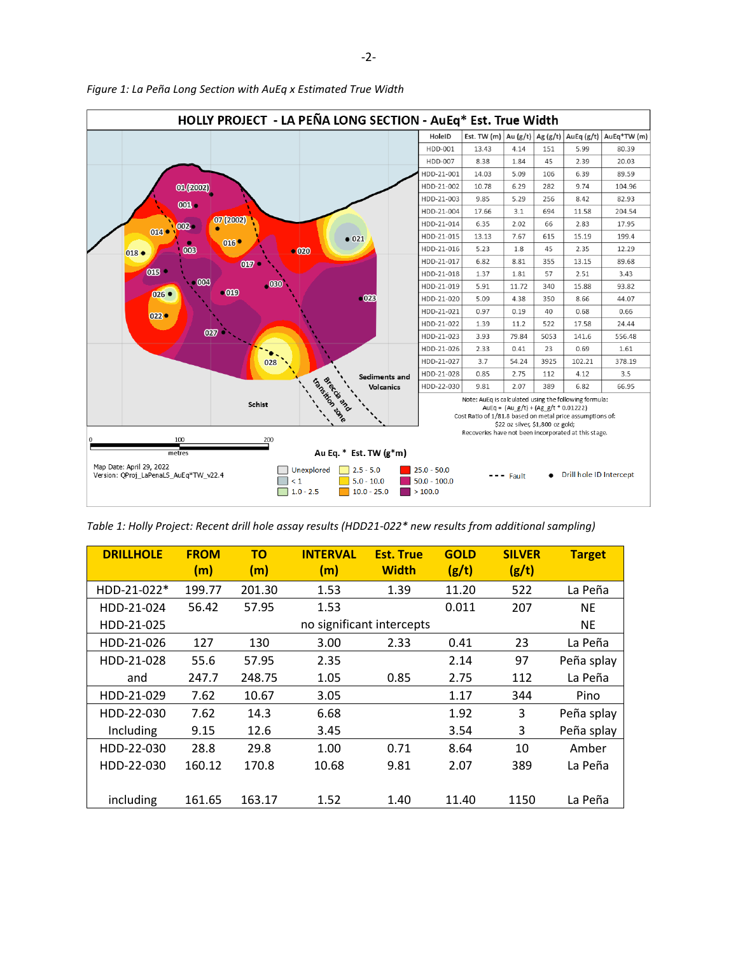

*Figure 1: La Peña Long Section with AuEq x Estimated True Width*

*Table 1: Holly Project: Recent drill hole assay results (HDD21-022\* new results from additional sampling)*

| <b>DRILLHOLE</b> | <b>FROM</b><br>(m)        | <b>TO</b><br>(m) | <b>INTERVAL</b><br>(m) | <b>Est. True</b><br><b>Width</b> | <b>GOLD</b><br>(g/t) | <b>SILVER</b><br>(g/t) | <b>Target</b> |
|------------------|---------------------------|------------------|------------------------|----------------------------------|----------------------|------------------------|---------------|
| HDD-21-022*      | 199.77                    | 201.30           | 1.53                   | 1.39                             | 11.20                | 522                    | La Peña       |
| HDD-21-024       | 56.42                     | 57.95            | 1.53                   |                                  | 0.011                | 207                    | <b>NE</b>     |
| HDD-21-025       | no significant intercepts |                  |                        |                                  |                      |                        | <b>NE</b>     |
| HDD-21-026       | 127                       | 130              | 3.00                   | 2.33                             | 0.41                 | 23                     | La Peña       |
| HDD-21-028       | 55.6                      | 57.95            | 2.35                   |                                  | 2.14                 | 97                     | Peña splay    |
| and              | 247.7                     | 248.75           | 1.05                   | 0.85                             | 2.75                 | 112                    | La Peña       |
| HDD-21-029       | 7.62                      | 10.67            | 3.05                   |                                  | 1.17                 | 344                    | Pino          |
| HDD-22-030       | 7.62                      | 14.3             | 6.68                   |                                  | 1.92                 | 3                      | Peña splay    |
| Including        | 9.15                      | 12.6             | 3.45                   |                                  | 3.54                 | 3                      | Peña splay    |
| HDD-22-030       | 28.8                      | 29.8             | 1.00                   | 0.71                             | 8.64                 | 10                     | Amber         |
| HDD-22-030       | 160.12                    | 170.8            | 10.68                  | 9.81                             | 2.07                 | 389                    | La Peña       |
|                  |                           |                  |                        |                                  |                      |                        |               |
| including        | 161.65                    | 163.17           | 1.52                   | 1.40                             | 11.40                | 1150                   | La Peña       |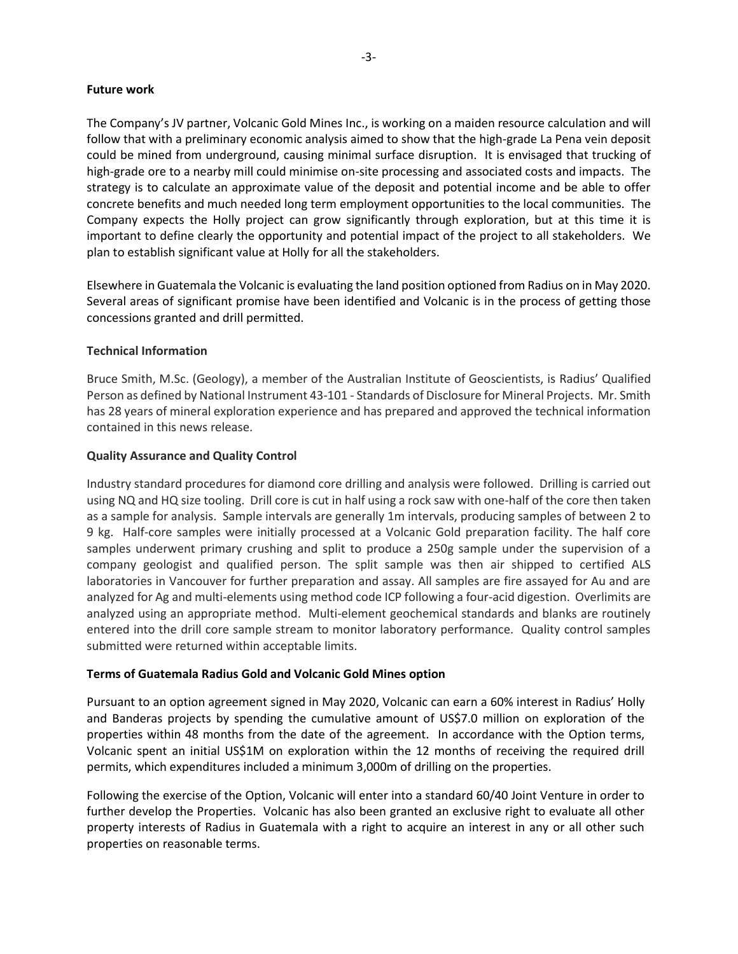#### **Future work**

The Company's JV partner, Volcanic Gold Mines Inc., is working on a maiden resource calculation and will follow that with a preliminary economic analysis aimed to show that the high-grade La Pena vein deposit could be mined from underground, causing minimal surface disruption. It is envisaged that trucking of high-grade ore to a nearby mill could minimise on-site processing and associated costs and impacts. The strategy is to calculate an approximate value of the deposit and potential income and be able to offer concrete benefits and much needed long term employment opportunities to the local communities. The Company expects the Holly project can grow significantly through exploration, but at this time it is important to define clearly the opportunity and potential impact of the project to all stakeholders. We plan to establish significant value at Holly for all the stakeholders.

Elsewhere in Guatemala the Volcanic is evaluating the land position optioned from Radius on in May 2020. Several areas of significant promise have been identified and Volcanic is in the process of getting those concessions granted and drill permitted.

#### **Technical Information**

Bruce Smith, M.Sc. (Geology), a member of the Australian Institute of Geoscientists, is Radius' Qualified Person as defined by National Instrument 43-101 - Standards of Disclosure for Mineral Projects. Mr. Smith has 28 years of mineral exploration experience and has prepared and approved the technical information contained in this news release.

#### **Quality Assurance and Quality Control**

Industry standard procedures for diamond core drilling and analysis were followed. Drilling is carried out using NQ and HQ size tooling. Drill core is cut in half using a rock saw with one-half of the core then taken as a sample for analysis. Sample intervals are generally 1m intervals, producing samples of between 2 to 9 kg. Half-core samples were initially processed at a Volcanic Gold preparation facility. The half core samples underwent primary crushing and split to produce a 250g sample under the supervision of a company geologist and qualified person. The split sample was then air shipped to certified ALS laboratories in Vancouver for further preparation and assay. All samples are fire assayed for Au and are analyzed for Ag and multi-elements using method code ICP following a four-acid digestion. Overlimits are analyzed using an appropriate method. Multi-element geochemical standards and blanks are routinely entered into the drill core sample stream to monitor laboratory performance. Quality control samples submitted were returned within acceptable limits.

## **Terms of Guatemala Radius Gold and Volcanic Gold Mines option**

Pursuant to an option agreement signed in May 2020, Volcanic can earn a 60% interest in Radius' Holly and Banderas projects by spending the cumulative amount of US\$7.0 million on exploration of the properties within 48 months from the date of the agreement. In accordance with the Option terms, Volcanic spent an initial US\$1M on exploration within the 12 months of receiving the required drill permits, which expenditures included a minimum 3,000m of drilling on the properties.

Following the exercise of the Option, Volcanic will enter into a standard 60/40 Joint Venture in order to further develop the Properties. Volcanic has also been granted an exclusive right to evaluate all other property interests of Radius in Guatemala with a right to acquire an interest in any or all other such properties on reasonable terms.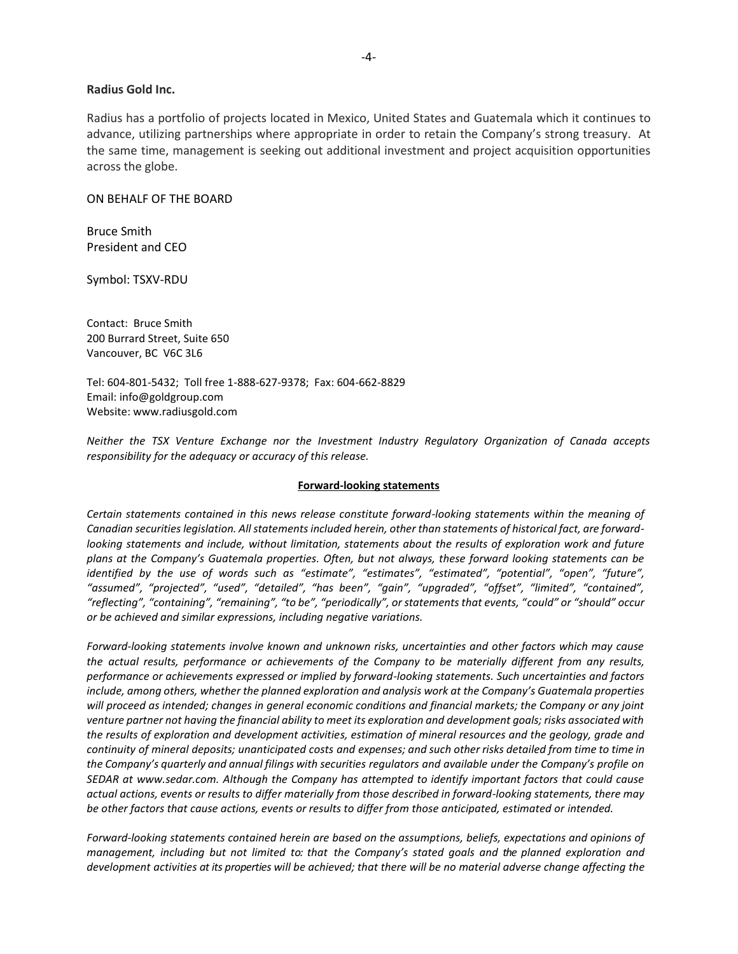#### **Radius Gold Inc.**

Radius has a portfolio of projects located in Mexico, United States and Guatemala which it continues to advance, utilizing partnerships where appropriate in order to retain the Company's strong treasury. At the same time, management is seeking out additional investment and project acquisition opportunities across the globe.

ON BEHALF OF THE BOARD

Bruce Smith President and CEO

Symbol: TSXV-RDU

Contact: Bruce Smith 200 Burrard Street, Suite 650 Vancouver, BC V6C 3L6

Tel: 604-801-5432; Toll free 1-888-627-9378; Fax: 604-662-8829 Email: info@goldgroup.com Website: www.radiusgold.com

*Neither the TSX Venture Exchange nor the Investment Industry Regulatory Organization of Canada accepts responsibility for the adequacy or accuracy of this release.*

#### **Forward-looking statements**

*Certain statements contained in this news release constitute forward-looking statements within the meaning of Canadian securities legislation. All statements included herein, other than statements of historical fact, are forwardlooking statements and include, without limitation, statements about the results of exploration work and future plans at the Company's Guatemala properties. Often, but not always, these forward looking statements can be identified by the use of words such as "estimate", "estimates", "estimated", "potential", "open", "future", "assumed", "projected", "used", "detailed", "has been", "gain", "upgraded", "offset", "limited", "contained", "reflecting", "containing", "remaining", "to be", "periodically", or statements that events, "could" or "should" occur or be achieved and similar expressions, including negative variations.*

*Forward-looking statements involve known and unknown risks, uncertainties and other factors which may cause the actual results, performance or achievements of the Company to be materially different from any results, performance or achievements expressed or implied by forward-looking statements. Such uncertainties and factors include, among others, whether the planned exploration and analysis work at the Company's Guatemala properties will proceed as intended; changes in general economic conditions and financial markets; the Company or any joint venture partner not having the financial ability to meet its exploration and development goals; risks associated with the results of exploration and development activities, estimation of mineral resources and the geology, grade and continuity of mineral deposits; unanticipated costs and expenses; and such other risks detailed from time to time in the Company's quarterly and annual filings with securities regulators and available under the Company's profile on SEDAR at [www.sedar.com.](http://www.sedar.com/) Although the Company has attempted to identify important factors that could cause actual actions, events or results to differ materially from those described in forward-looking statements, there may be other factors that cause actions, events or results to differ from those anticipated, estimated or intended.*

*Forward-looking statements contained herein are based on the assumptions, beliefs, expectations and opinions of management, including but not limited to: that the Company's stated goals and the planned exploration and development activities at its properties will be achieved; that there will be no material adverse change affecting the*